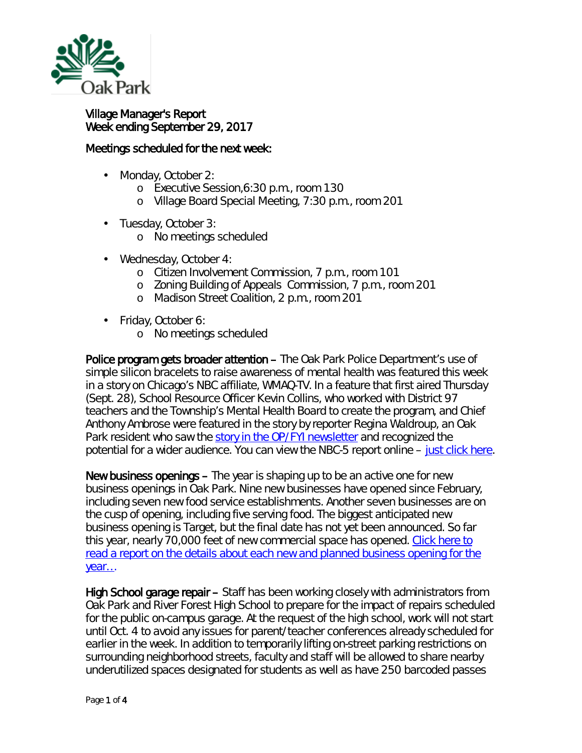

## Village Manager's Report Week ending September 29, 2017

## Meetings scheduled for the next week:

- L. Monday, October 2:
	- o Executive Session,6:30 p.m., room 130
	- o Village Board Special Meeting, 7:30 p.m., room 201
- ä, Tuesday, October 3:
	- o No meetings scheduled
- ä, Wednesday, October 4:
	- o Citizen Involvement Commission, 7 p.m., room 101
	- o Zoning Building of Appeals Commission, 7 p.m., room 201
	- o Madison Street Coalition, 2 p.m., room 201
- Friday, October 6:
	- o No meetings scheduled

Police program gets broader attention – The Oak Park Police Department's use of simple silicon bracelets to raise awareness of mental health was featured this week in a story on Chicago's NBC affiliate, WMAQ-TV. In a feature that first aired Thursday (Sept. 28), School Resource Officer Kevin Collins, who worked with District 97 teachers and the Township's Mental Health Board to create the program, and Chief Anthony Ambrose were featured in the story by reporter Regina Waldroup, an Oak Park resident who saw the [story in the OP/FYI newsletter](http://www.oak-park.us/newsletters/julyaugust-2017/police-offer-bracelets-help-address-mental-health-communications-issues) and recognized the potential for a wider audience. You can view the NBC-5 report online – [just click here.](http://www.nbcchicago.com/news/local/oak-park-mental-health-bracelets-448567743.html)

New business openings – The year is shaping up to be an active one for new business openings in Oak Park. Nine new businesses have opened since February, including seven new food service establishments. Another seven businesses are on the cusp of opening, including five serving food. The biggest anticipated new business opening is Target, but the final date has not yet been announced. So far this year, nearly 70,000 feet of new commercial space has opened. Click here to [read a report on the details about each new and planned business opening for the](http://www.oak-park.us/sites/default/files/456678891/2017-09-21-fall-business-investment-update.pdf)  [year…](http://www.oak-park.us/sites/default/files/456678891/2017-09-21-fall-business-investment-update.pdf)

High School garage repair – Staff has been working closely with administrators from Oak Park and River Forest High School to prepare for the impact of repairs scheduled for the public on-campus garage. At the request of the high school, work will not start until Oct. 4 to avoid any issues for parent/teacher conferences already scheduled for earlier in the week. In addition to temporarily lifting on-street parking restrictions on surrounding neighborhood streets, faculty and staff will be allowed to share nearby underutilized spaces designated for students as well as have 250 barcoded passes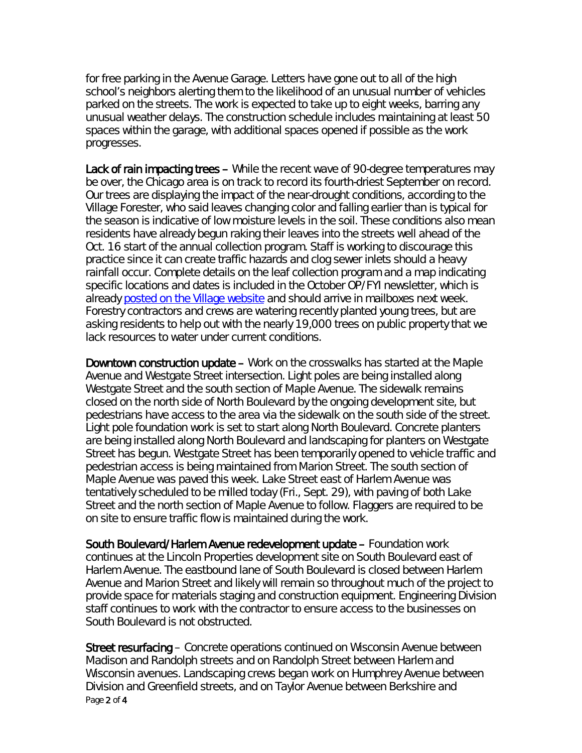for free parking in the Avenue Garage. Letters have gone out to all of the high school's neighbors alerting them to the likelihood of an unusual number of vehicles parked on the streets. The work is expected to take up to eight weeks, barring any unusual weather delays. The construction schedule includes maintaining at least 50 spaces within the garage, with additional spaces opened if possible as the work progresses.

Lack of rain impacting trees – While the recent wave of 90-degree temperatures may be over, the Chicago area is on track to record its fourth-driest September on record. Our trees are displaying the impact of the near-drought conditions, according to the Village Forester, who said leaves changing color and falling earlier than is typical for the season is indicative of low moisture levels in the soil. These conditions also mean residents have already begun raking their leaves into the streets well ahead of the Oct. 16 start of the annual collection program. Staff is working to discourage this practice since it can create traffic hazards and clog sewer inlets should a heavy rainfall occur. Complete details on the leaf collection program and a map indicating specific locations and dates is included in the October OP/FYI newsletter, which is already [posted on the Village website](http://r20.rs6.net/tn.jsp?f=001IOxneC_u332T5ksApy73c5tcpysBERSjHKm_aoqA8yCYH5T1ADuG3zkRbHVLFGvyrZ9vQRzZ3J1q9BxXlxJZqlcTmjxUdNwxpoRrFGMGdYfMBUdAQr9oNM1aU2AtZFcBbbiFNTTOHfWKVflNjrx3A5lQKp2e3_2au__bSP1lgd_W31xUHHcoIbwWh6B4kYTutapPHKznyrcXFoVgcD1GGxLjW2DI0LdNu_dqC0vWSDuus7d9obvws0mQ5HDvD50uhSBOGKZEttUJiJ4cHbKi9wJLgGzf4G9sBBX3RR15HNaPH5960_bGTI1FGMong4RbKZTNyQcRh9IwQe1h-NIWRnJkc4FW5JgVzg3VSig9_RQeVVa6SOPoeg==&c=q9YNt5bMxiGU4GVLd4Si7OZD_LMPGNAoBiTdkfNy_A9--AKheDvgWw==&ch=7zFVAJXmA4uMgXaMQur7RSYwB2pdoS10CeBNPzzDHl-XM4zK6uvfCg==) and should arrive in mailboxes next week. Forestry contractors and crews are watering recently planted young trees, but are asking residents to help out with the nearly 19,000 trees on public property that we lack resources to water under current conditions.

Downtown construction update – Work on the crosswalks has started at the Maple Avenue and Westgate Street intersection. Light poles are being installed along Westgate Street and the south section of Maple Avenue. The sidewalk remains closed on the north side of North Boulevard by the ongoing development site, but pedestrians have access to the area via the sidewalk on the south side of the street. Light pole foundation work is set to start along North Boulevard. Concrete planters are being installed along North Boulevard and landscaping for planters on Westgate Street has begun. Westgate Street has been temporarily opened to vehicle traffic and pedestrian access is being maintained from Marion Street. The south section of Maple Avenue was paved this week. Lake Street east of Harlem Avenue was tentatively scheduled to be milled today (Fri., Sept. 29), with paving of both Lake Street and the north section of Maple Avenue to follow. Flaggers are required to be on site to ensure traffic flow is maintained during the work.

South Boulevard/Harlem Avenue redevelopment update – Foundation work continues at the Lincoln Properties development site on South Boulevard east of Harlem Avenue. The eastbound lane of South Boulevard is closed between Harlem Avenue and Marion Street and likely will remain so throughout much of the project to provide space for materials staging and construction equipment. Engineering Division staff continues to work with the contractor to ensure access to the businesses on South Boulevard is not obstructed.

Page 2 of 4 Street resurfacing – Concrete operations continued on Wisconsin Avenue between Madison and Randolph streets and on Randolph Street between Harlem and Wisconsin avenues. Landscaping crews began work on Humphrey Avenue between Division and Greenfield streets, and on Taylor Avenue between Berkshire and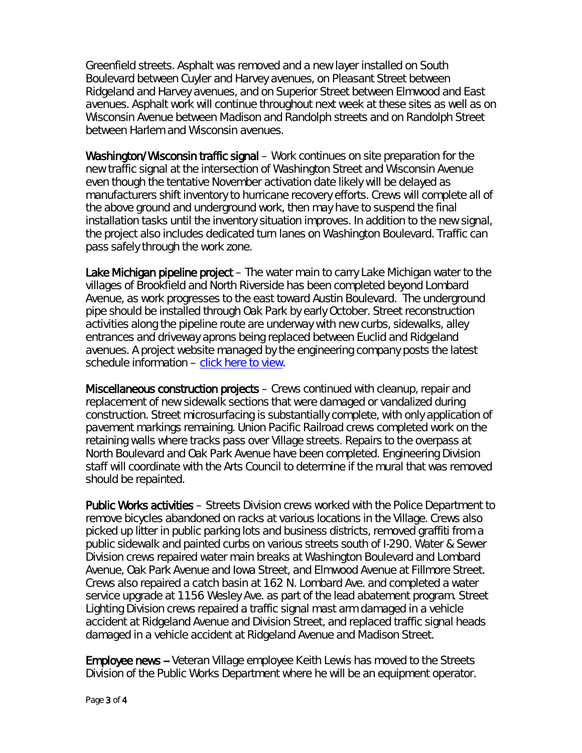Greenfield streets. Asphalt was removed and a new layer installed on South Boulevard between Cuyler and Harvey avenues, on Pleasant Street between Ridgeland and Harvey avenues, and on Superior Street between Elmwood and East avenues. Asphalt work will continue throughout next week at these sites as well as on Wisconsin Avenue between Madison and Randolph streets and on Randolph Street between Harlem and Wisconsin avenues.

Washington/Wisconsin traffic signal – Work continues on site preparation for the new traffic signal at the intersection of Washington Street and Wisconsin Avenue even though the tentative November activation date likely will be delayed as manufacturers shift inventory to hurricane recovery efforts. Crews will complete all of the above ground and underground work, then may have to suspend the final installation tasks until the inventory situation improves. In addition to the new signal, the project also includes dedicated turn lanes on Washington Boulevard. Traffic can pass safely through the work zone.

Lake Michigan pipeline project – The water main to carry Lake Michigan water to the villages of Brookfield and North Riverside has been completed beyond Lombard Avenue, as work progresses to the east toward Austin Boulevard. The underground pipe should be installed through Oak Park by early October. Street reconstruction activities along the pipeline route are underway with new curbs, sidewalks, alley entrances and driveway aprons being replaced between Euclid and Ridgeland avenues. A project website managed by the engineering company posts the latest schedule information – [click here to view.](http://www.bnrwcproject.com/index.php?/categories/5-Oak-Park)

Miscellaneous construction projects – Crews continued with cleanup, repair and replacement of new sidewalk sections that were damaged or vandalized during construction. Street microsurfacing is substantially complete, with only application of pavement markings remaining. Union Pacific Railroad crews completed work on the retaining walls where tracks pass over Village streets. Repairs to the overpass at North Boulevard and Oak Park Avenue have been completed. Engineering Division staff will coordinate with the Arts Council to determine if the mural that was removed should be repainted.

Public Works activities – Streets Division crews worked with the Police Department to remove bicycles abandoned on racks at various locations in the Village. Crews also picked up litter in public parking lots and business districts, removed graffiti from a public sidewalk and painted curbs on various streets south of I-290. Water & Sewer Division crews repaired water main breaks at Washington Boulevard and Lombard Avenue, Oak Park Avenue and Iowa Street, and Elmwood Avenue at Fillmore Street. Crews also repaired a catch basin at 162 N. Lombard Ave. and completed a water service upgrade at 1156 Wesley Ave. as part of the lead abatement program. Street Lighting Division crews repaired a traffic signal mast arm damaged in a vehicle accident at Ridgeland Avenue and Division Street, and replaced traffic signal heads damaged in a vehicle accident at Ridgeland Avenue and Madison Street.

Employee news -- Veteran Village employee Keith Lewis has moved to the Streets Division of the Public Works Department where he will be an equipment operator.